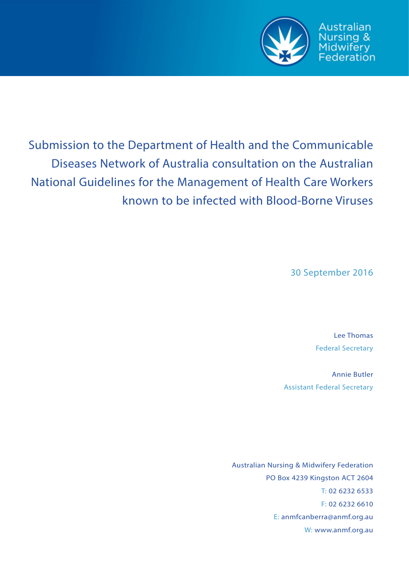

Australian Nursing & Midwifery<br>Federation

Submission to the Department of Health and the Communicable Diseases Network of Australia consultation on the Australian National Guidelines for the Management of Health Care Workers known to be infected with Blood-Borne Viruses

30 September 2016

Lee Thomas Federal Secretary

Annie Butler Assistant Federal Secretary

Australian Nursing & Midwifery Federation PO Box 4239 Kingston ACT 2604 T: 02 6232 6533 F: 02 6232 6610 E: anmfcanberra@anmf.org.au W: www.anmf.org.au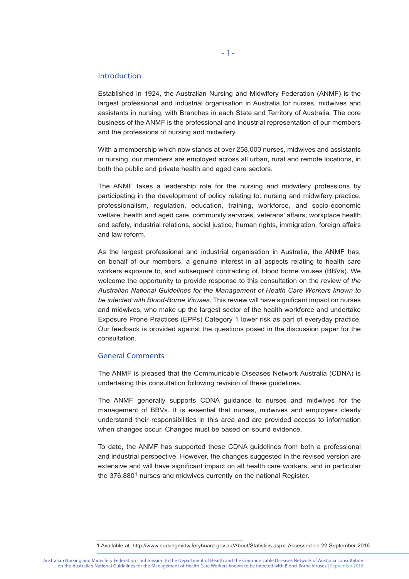### Introduction

Established in 1924, the Australian Nursing and Midwifery Federation (ANMF) is the largest professional and industrial organisation in Australia for nurses, midwives and assistants in nursing, with Branches in each State and Territory of Australia. The core business of the ANMF is the professional and industrial representation of our members and the professions of nursing and midwifery.

With a membership which now stands at over 258,000 nurses, midwives and assistants in nursing, our members are employed across all urban, rural and remote locations, in both the public and private health and aged care sectors.

The ANMF takes a leadership role for the nursing and midwifery professions by participating in the development of policy relating to: nursing and midwifery practice, professionalism, regulation, education, training, workforce, and socio-economic welfare; health and aged care, community services, veterans' affairs, workplace health and safety, industrial relations, social justice, human rights, immigration, foreign affairs and law reform.

As the largest professional and industrial organisation in Australia, the ANMF has, on behalf of our members, a genuine interest in all aspects relating to health care workers exposure to, and subsequent contracting of, blood borne viruses (BBVs). We welcome the opportunity to provide response to this consultation on the review of *the Australian National Guidelines for the Management of Health Care Workers known to be infected with Blood-Borne Viruses*. This review will have significant impact on nurses and midwives, who make up the largest sector of the health workforce and undertake Exposure Prone Practices (EPPs) Category 1 lower risk as part of everyday practice. Our feedback is provided against the questions posed in the discussion paper for the consultation.

### General Comments

The ANMF is pleased that the Communicable Diseases Network Australia (CDNA) is undertaking this consultation following revision of these guidelines.

The ANMF generally supports CDNA guidance to nurses and midwives for the management of BBVs. It is essential that nurses, midwives and employers clearly understand their responsibilities in this area and are provided access to information when changes occur. Changes must be based on sound evidence.

To date, the ANMF has supported these CDNA guidelines from both a professional and industrial perspective. However, the changes suggested in the revised version are extensive and will have significant impact on all health care workers, and in particular the 376,880<sup>1</sup> nurses and midwives currently on the national Register.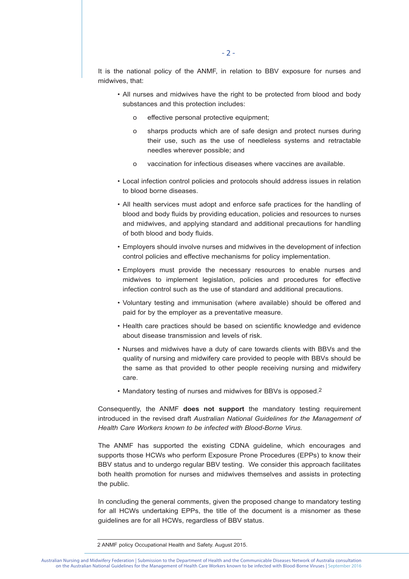It is the national policy of the ANMF, in relation to BBV exposure for nurses and midwives, that:

- All nurses and midwives have the right to be protected from blood and body substances and this protection includes:
	- o effective personal protective equipment;
	- o sharps products which are of safe design and protect nurses during their use, such as the use of needleless systems and retractable needles wherever possible; and
	- o vaccination for infectious diseases where vaccines are available.
- Local infection control policies and protocols should address issues in relation to blood borne diseases.
- All health services must adopt and enforce safe practices for the handling of blood and body fluids by providing education, policies and resources to nurses and midwives, and applying standard and additional precautions for handling of both blood and body fluids.
- Employers should involve nurses and midwives in the development of infection control policies and effective mechanisms for policy implementation.
- Employers must provide the necessary resources to enable nurses and midwives to implement legislation, policies and procedures for effective infection control such as the use of standard and additional precautions.
- Voluntary testing and immunisation (where available) should be offered and paid for by the employer as a preventative measure.
- Health care practices should be based on scientific knowledge and evidence about disease transmission and levels of risk.
- Nurses and midwives have a duty of care towards clients with BBVs and the quality of nursing and midwifery care provided to people with BBVs should be the same as that provided to other people receiving nursing and midwifery care.
- Mandatory testing of nurses and midwives for BBVs is opposed.2

Consequently, the ANMF **does not support** the mandatory testing requirement introduced in the revised draft *Australian National Guidelines for the Management of Health Care Workers known to be infected with Blood-Borne Virus.*

The ANMF has supported the existing CDNA guideline, which encourages and supports those HCWs who perform Exposure Prone Procedures (EPPs) to know their BBV status and to undergo regular BBV testing. We consider this approach facilitates both health promotion for nurses and midwives themselves and assists in protecting the public.

In concluding the general comments, given the proposed change to mandatory testing for all HCWs undertaking EPPs, the title of the document is a misnomer as these guidelines are for all HCWs, regardless of BBV status.

<sup>2</sup> ANMF policy Occupational Health and Safety. August 2015.

Australian Nursing and Midwifery Federation | Submission to the Department of Health and the Communicable Diseases Network of Australia consultation on the Australian National Guidelines for the Management of Health Care Workers known to be infected with Blood-Borne Viruses | September 2016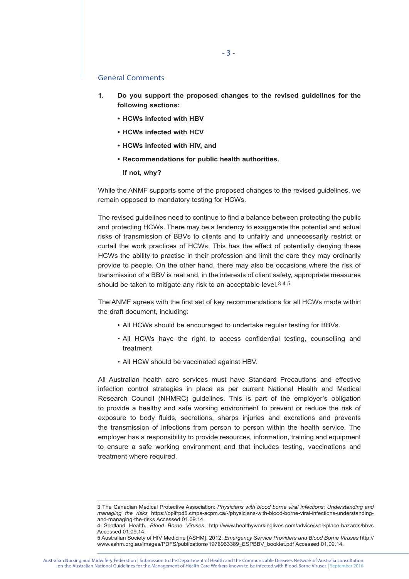## General Comments

- **1. Do you support the proposed changes to the revised guidelines for the following sections:**
	- **• HCWs infected with HBV**
	- **• HCWs infected with HCV**
	- **• HCWs infected with HIV, and**
	- **• Recommendations for public health authorities.**

 **If not, why?**

While the ANMF supports some of the proposed changes to the revised guidelines, we remain opposed to mandatory testing for HCWs.

The revised guidelines need to continue to find a balance between protecting the public and protecting HCWs. There may be a tendency to exaggerate the potential and actual risks of transmission of BBVs to clients and to unfairly and unnecessarily restrict or curtail the work practices of HCWs. This has the effect of potentially denying these HCWs the ability to practise in their profession and limit the care they may ordinarily provide to people. On the other hand, there may also be occasions where the risk of transmission of a BBV is real and, in the interests of client safety, appropriate measures should be taken to mitigate any risk to an acceptable level.<sup>345</sup>

The ANMF agrees with the first set of key recommendations for all HCWs made within the draft document, including:

- All HCWs should be encouraged to undertake regular testing for BBVs.
- All HCWs have the right to access confidential testing, counselling and treatment
- All HCW should be vaccinated against HBV.

All Australian health care services must have Standard Precautions and effective infection control strategies in place as per current National Health and Medical Research Council (NHMRC) guidelines. This is part of the employer's obligation to provide a healthy and safe working environment to prevent or reduce the risk of exposure to body fluids, secretions, sharps injuries and excretions and prevents the transmission of infections from person to person within the health service. The employer has a responsibility to provide resources, information, training and equipment to ensure a safe working environment and that includes testing, vaccinations and treatment where required.

Australian Nursing and Midwifery Federation | Submission to the Department of Health and the Communicable Diseases Network of Australia consultation on the Australian National Guidelines for the Management of Health Care Workers known to be infected with Blood-Borne Viruses | September 2016

<sup>3</sup> The Canadian Medical Protective Association: *Physicians with blood borne viral infections: Understanding and managing the risks* https://oplfrpd5.cmpa-acpm.ca/-/physicians-with-blood-borne-viral-infections-understandingand-managing-the-risks Accessed 01.09.14.

<sup>4</sup> Scotland Health. *Blood Borne Viruses*. http://www.healthyworkinglives.com/advice/workplace-hazards/bbvs Accessed 01.09.14.

<sup>5</sup> Australian Society of HIV Medicine [ASHM], 2012: *Emergency Service Providers and Blood Borne Viruses* http:// www.ashm.org.au/images/PDFS/publications/1976963389\_ESPBBV\_booklet.pdf Accessed 01.09.14.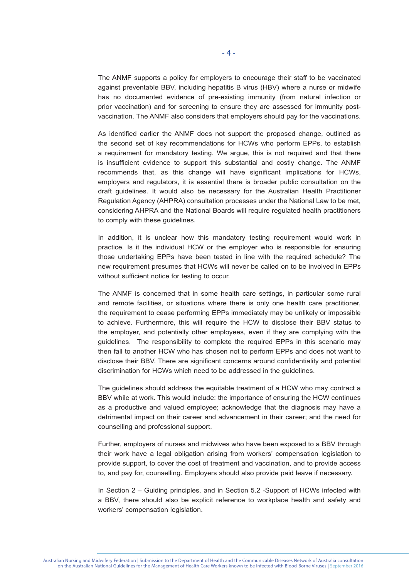The ANMF supports a policy for employers to encourage their staff to be vaccinated against preventable BBV, including hepatitis B virus (HBV) where a nurse or midwife has no documented evidence of pre-existing immunity (from natural infection or prior vaccination) and for screening to ensure they are assessed for immunity postvaccination. The ANMF also considers that employers should pay for the vaccinations.

As identified earlier the ANMF does not support the proposed change, outlined as the second set of key recommendations for HCWs who perform EPPs, to establish a requirement for mandatory testing. We argue, this is not required and that there is insufficient evidence to support this substantial and costly change. The ANMF recommends that, as this change will have significant implications for HCWs, employers and regulators, it is essential there is broader public consultation on the draft guidelines. It would also be necessary for the Australian Health Practitioner Regulation Agency (AHPRA) consultation processes under the National Law to be met, considering AHPRA and the National Boards will require regulated health practitioners to comply with these guidelines.

In addition, it is unclear how this mandatory testing requirement would work in practice. Is it the individual HCW or the employer who is responsible for ensuring those undertaking EPPs have been tested in line with the required schedule? The new requirement presumes that HCWs will never be called on to be involved in EPPs without sufficient notice for testing to occur.

The ANMF is concerned that in some health care settings, in particular some rural and remote facilities, or situations where there is only one health care practitioner, the requirement to cease performing EPPs immediately may be unlikely or impossible to achieve. Furthermore, this will require the HCW to disclose their BBV status to the employer, and potentially other employees, even if they are complying with the guidelines. The responsibility to complete the required EPPs in this scenario may then fall to another HCW who has chosen not to perform EPPs and does not want to disclose their BBV. There are significant concerns around confidentiality and potential discrimination for HCWs which need to be addressed in the guidelines.

The guidelines should address the equitable treatment of a HCW who may contract a BBV while at work. This would include: the importance of ensuring the HCW continues as a productive and valued employee; acknowledge that the diagnosis may have a detrimental impact on their career and advancement in their career; and the need for counselling and professional support.

Further, employers of nurses and midwives who have been exposed to a BBV through their work have a legal obligation arising from workers' compensation legislation to provide support, to cover the cost of treatment and vaccination, and to provide access to, and pay for, counselling. Employers should also provide paid leave if necessary.

In Section 2 – Guiding principles, and in Section 5.2 -Support of HCWs infected with a BBV, there should also be explicit reference to workplace health and safety and workers' compensation legislation.

Australian Nursing and Midwifery Federation | Submission to the Department of Health and the Communicable Diseases Network of Australia consultation on the Australian National Guidelines for the Management of Health Care Workers known to be infected with Blood-Borne Viruses | September 2016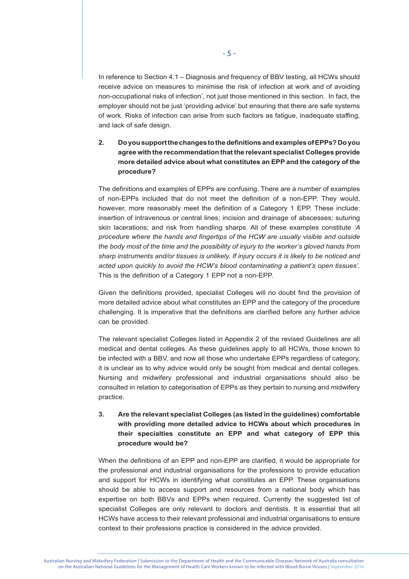In reference to Section 4.1 – Diagnosis and frequency of BBV testing, all HCWs should receive advice on measures to minimise the risk of infection at work and of avoiding non-occupational risks of infection', not just those mentioned in this section. In fact, the employer should not be just 'providing advice' but ensuring that there are safe systems of work. Risks of infection can arise from such factors as fatigue, inadequate staffing, and lack of safe design.

# **2. Do you support the changes to the definitions and examples of EPPs? Do you agree with the recommendation that the relevant specialist Colleges provide more detailed advice about what constitutes an EPP and the category of the procedure?**

The definitions and examples of EPPs are confusing. There are a number of examples of non-EPPs included that do not meet the definition of a non-EPP. They would, however, more reasonably meet the definition of a Category 1 EPP. These include: insertion of intravenous or central lines; incision and drainage of abscesses; suturing skin lacerations; and risk from handling sharps. All of these examples constitute *'A procedure where the hands and fingertips of the HCW are usually visible and outside the body most of the time and the possibility of injury to the worker's gloved hands from sharp instruments and/or tissues is unlikely. If injury occurs it is likely to be noticed and acted upon quickly to avoid the HCW's blood contaminating a patient's open tissues'*. This is the definition of a Category 1 EPP not a non-EPP.

Given the definitions provided, specialist Colleges will no doubt find the provision of more detailed advice about what constitutes an EPP and the category of the procedure challenging. It is imperative that the definitions are clarified before any further advice can be provided.

The relevant specialist Colleges listed in Appendix 2 of the revised Guidelines are all medical and dental colleges. As these guidelines apply to all HCWs, those known to be infected with a BBV, and now all those who undertake EPPs regardless of category, it is unclear as to why advice would only be sought from medical and dental colleges. Nursing and midwifery professional and industrial organisations should also be consulted in relation to categorisation of EPPs as they pertain to nursing and midwifery practice.

# **3. Are the relevant specialist Colleges (as listed in the guidelines) comfortable with providing more detailed advice to HCWs about which procedures in their specialties constitute an EPP and what category of EPP this procedure would be?**

When the definitions of an EPP and non-EPP are clarified, it would be appropriate for the professional and industrial organisations for the professions to provide education and support for HCWs in identifying what constitutes an EPP. These organisations should be able to access support and resources from a national body which has expertise on both BBVs and EPPs when required. Currently the suggested list of specialist Colleges are only relevant to doctors and dentists. It is essential that all HCWs have access to their relevant professional and industrial organisations to ensure context to their professions practice is considered in the advice provided.

Australian Nursing and Midwifery Federation | Submission to the Department of Health and the Communicable Diseases Network of Australia consultation on the Australian National Guidelines for the Management of Health Care Workers known to be infected with Blood-Borne Viruses | September 2016